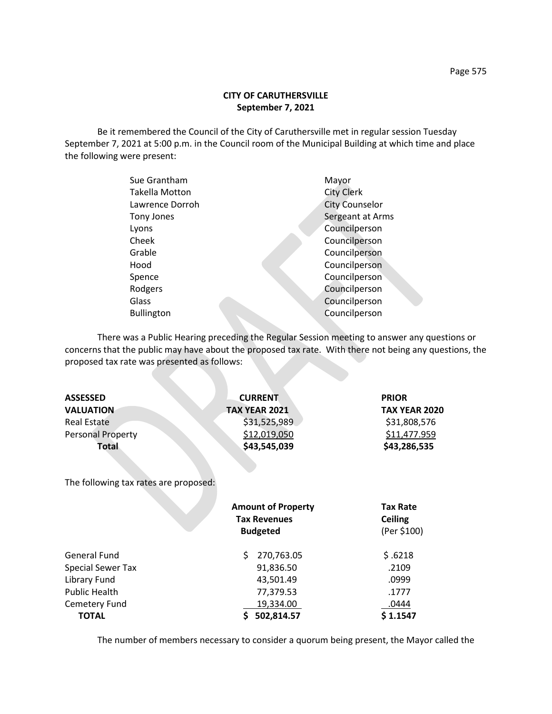## **CITY OF CARUTHERSVILLE September 7, 2021**

Be it remembered the Council of the City of Caruthersville met in regular session Tuesday September 7, 2021 at 5:00 p.m. in the Council room of the Municipal Building at which time and place the following were present:

| Sue Grantham      | Mayor                 |
|-------------------|-----------------------|
| Takella Motton    | <b>City Clerk</b>     |
| Lawrence Dorroh   | <b>City Counselor</b> |
| Tony Jones        | Sergeant at Arms      |
| Lyons             | Councilperson         |
| Cheek             | Councilperson         |
| Grable            | Councilperson         |
| Hood              | Councilperson         |
| Spence            | Councilperson         |
| Rodgers           | Councilperson         |
| Glass             | Councilperson         |
| <b>Bullington</b> | Councilperson         |
|                   |                       |

There was a Public Hearing preceding the Regular Session meeting to answer any questions or concerns that the public may have about the proposed tax rate. With there not being any questions, the proposed tax rate was presented as follows:

| <b>ASSESSED</b>                       | <b>CURRENT</b>            | <b>PRIOR</b>         |  |  |  |
|---------------------------------------|---------------------------|----------------------|--|--|--|
| <b>VALUATION</b>                      | <b>TAX YEAR 2021</b>      | <b>TAX YEAR 2020</b> |  |  |  |
| <b>Real Estate</b>                    | \$31,525,989              | \$31,808,576         |  |  |  |
| <b>Personal Property</b>              | \$12,019,050              | \$11,477.959         |  |  |  |
| Total                                 | \$43,545,039              | \$43,286,535         |  |  |  |
| The following tax rates are proposed: |                           |                      |  |  |  |
|                                       | <b>Amount of Property</b> | <b>Tax Rate</b>      |  |  |  |
|                                       | <b>Tax Revenues</b>       | <b>Ceiling</b>       |  |  |  |
|                                       | <b>Budgeted</b>           | (Per \$100)          |  |  |  |
| <b>General Fund</b>                   | 270,763.05<br>S           | \$.6218              |  |  |  |
| <b>Special Sewer Tax</b>              | 91,836.50                 | .2109                |  |  |  |

Library Fund **13,501.49** .0999 Public Health 277,379.53 2.1777 Cemetery Fund 19,334.00 .0444 **TOTAL \$ 502,814.57** \$ 1.1547

The number of members necessary to consider a quorum being present, the Mayor called the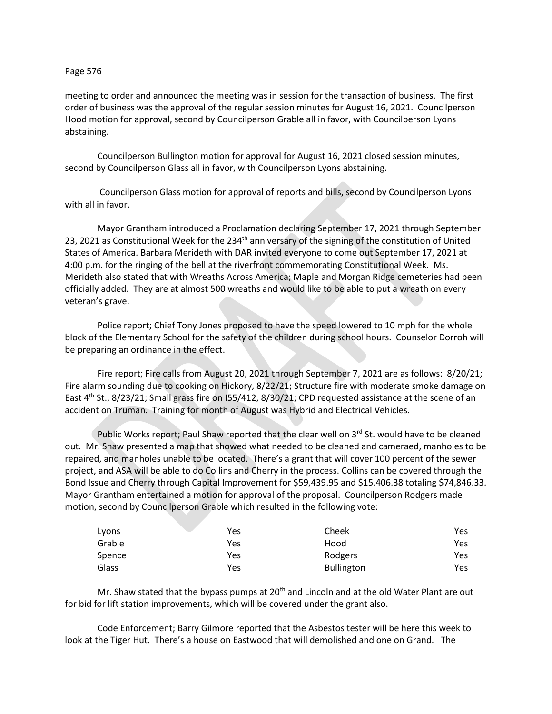## Page 576

meeting to order and announced the meeting was in session for the transaction of business. The first order of business was the approval of the regular session minutes for August 16, 2021. Councilperson Hood motion for approval, second by Councilperson Grable all in favor, with Councilperson Lyons abstaining.

Councilperson Bullington motion for approval for August 16, 2021 closed session minutes, second by Councilperson Glass all in favor, with Councilperson Lyons abstaining.

Councilperson Glass motion for approval of reports and bills, second by Councilperson Lyons with all in favor.

Mayor Grantham introduced a Proclamation declaring September 17, 2021 through September 23, 2021 as Constitutional Week for the 234<sup>th</sup> anniversary of the signing of the constitution of United States of America. Barbara Merideth with DAR invited everyone to come out September 17, 2021 at 4:00 p.m. for the ringing of the bell at the riverfront commemorating Constitutional Week. Ms. Merideth also stated that with Wreaths Across America; Maple and Morgan Ridge cemeteries had been officially added. They are at almost 500 wreaths and would like to be able to put a wreath on every veteran's grave.

Police report; Chief Tony Jones proposed to have the speed lowered to 10 mph for the whole block of the Elementary School for the safety of the children during school hours. Counselor Dorroh will be preparing an ordinance in the effect.

Fire report; Fire calls from August 20, 2021 through September 7, 2021 are as follows: 8/20/21; Fire alarm sounding due to cooking on Hickory, 8/22/21; Structure fire with moderate smoke damage on East 4<sup>th</sup> St., 8/23/21; Small grass fire on I55/412, 8/30/21; CPD requested assistance at the scene of an accident on Truman. Training for month of August was Hybrid and Electrical Vehicles.

Public Works report; Paul Shaw reported that the clear well on  $3^{rd}$  St. would have to be cleaned out. Mr. Shaw presented a map that showed what needed to be cleaned and cameraed, manholes to be repaired, and manholes unable to be located. There's a grant that will cover 100 percent of the sewer project, and ASA will be able to do Collins and Cherry in the process. Collins can be covered through the Bond Issue and Cherry through Capital Improvement for \$59,439.95 and \$15.406.38 totaling \$74,846.33. Mayor Grantham entertained a motion for approval of the proposal. Councilperson Rodgers made motion, second by Councilperson Grable which resulted in the following vote:

| Lyons  | Yes | Cheek             | Yes. |
|--------|-----|-------------------|------|
| Grable | Yes | Hood              | Yes  |
| Spence | Yes | Rodgers           | Yes. |
| Glass  | Yes | <b>Bullington</b> | Yes  |

Mr. Shaw stated that the bypass pumps at  $20<sup>th</sup>$  and Lincoln and at the old Water Plant are out for bid for lift station improvements, which will be covered under the grant also.

Code Enforcement; Barry Gilmore reported that the Asbestos tester will be here this week to look at the Tiger Hut. There's a house on Eastwood that will demolished and one on Grand. The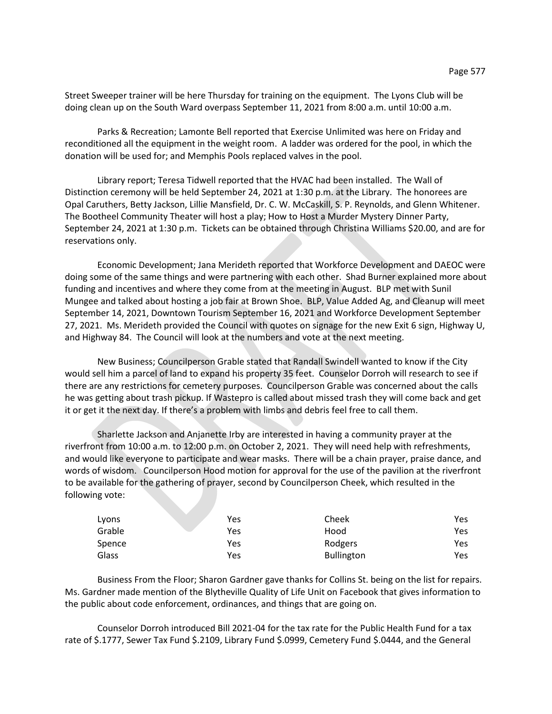Street Sweeper trainer will be here Thursday for training on the equipment. The Lyons Club will be doing clean up on the South Ward overpass September 11, 2021 from 8:00 a.m. until 10:00 a.m.

Parks & Recreation; Lamonte Bell reported that Exercise Unlimited was here on Friday and reconditioned all the equipment in the weight room. A ladder was ordered for the pool, in which the donation will be used for; and Memphis Pools replaced valves in the pool.

Library report; Teresa Tidwell reported that the HVAC had been installed. The Wall of Distinction ceremony will be held September 24, 2021 at 1:30 p.m. at the Library. The honorees are Opal Caruthers, Betty Jackson, Lillie Mansfield, Dr. C. W. McCaskill, S. P. Reynolds, and Glenn Whitener. The Bootheel Community Theater will host a play; How to Host a Murder Mystery Dinner Party, September 24, 2021 at 1:30 p.m. Tickets can be obtained through Christina Williams \$20.00, and are for reservations only.

Economic Development; Jana Merideth reported that Workforce Development and DAEOC were doing some of the same things and were partnering with each other. Shad Burner explained more about funding and incentives and where they come from at the meeting in August. BLP met with Sunil Mungee and talked about hosting a job fair at Brown Shoe. BLP, Value Added Ag, and Cleanup will meet September 14, 2021, Downtown Tourism September 16, 2021 and Workforce Development September 27, 2021. Ms. Merideth provided the Council with quotes on signage for the new Exit 6 sign, Highway U, and Highway 84. The Council will look at the numbers and vote at the next meeting.

New Business; Councilperson Grable stated that Randall Swindell wanted to know if the City would sell him a parcel of land to expand his property 35 feet. Counselor Dorroh will research to see if there are any restrictions for cemetery purposes. Councilperson Grable was concerned about the calls he was getting about trash pickup. If Wastepro is called about missed trash they will come back and get it or get it the next day. If there's a problem with limbs and debris feel free to call them.

Sharlette Jackson and Anjanette Irby are interested in having a community prayer at the riverfront from 10:00 a.m. to 12:00 p.m. on October 2, 2021. They will need help with refreshments, and would like everyone to participate and wear masks. There will be a chain prayer, praise dance, and words of wisdom. Councilperson Hood motion for approval for the use of the pavilion at the riverfront to be available for the gathering of prayer, second by Councilperson Cheek, which resulted in the following vote:

| Lyons  | Yes | Cheek             | Yes |
|--------|-----|-------------------|-----|
| Grable | Yes | Hood              | Yes |
| Spence | Yes | Rodgers           | Yes |
| Glass  | Yes | <b>Bullington</b> | Yes |

Business From the Floor; Sharon Gardner gave thanks for Collins St. being on the list for repairs. Ms. Gardner made mention of the Blytheville Quality of Life Unit on Facebook that gives information to the public about code enforcement, ordinances, and things that are going on.

Counselor Dorroh introduced Bill 2021-04 for the tax rate for the Public Health Fund for a tax rate of \$.1777, Sewer Tax Fund \$.2109, Library Fund \$.0999, Cemetery Fund \$.0444, and the General